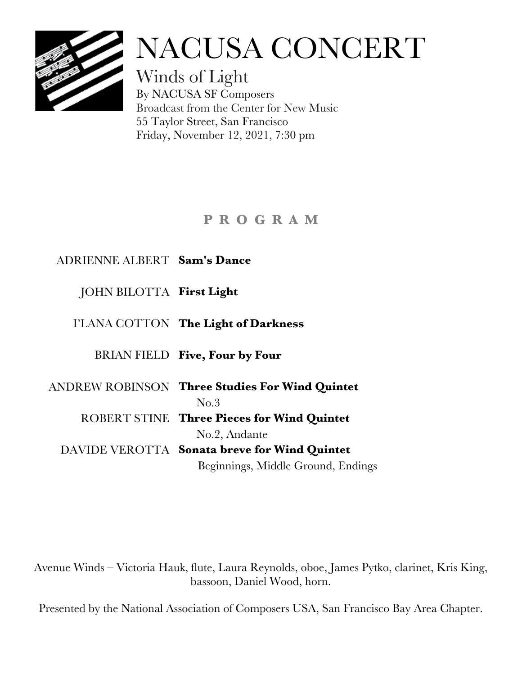

# NACUSA CONCERT

Winds of Light By NACUSA SF Composers Broadcast from the Center for New Music 55 Taylor Street, San Francisco Friday, November 12, 2021, 7:30 pm

# **P R O G R A M**

## ADRIENNE ALBERT **Sam's Dance**

## JOHN BILOTTA **First Light**

## I'LANA COTTON **The Light of Darkness**

## BRIAN FIELD **Five, Four by Four**

ANDREW ROBINSON **Three Studies For Wind Quintet** No.3 ROBERT STINE **Three Pieces for Wind Quintet** No.2, Andante DAVIDE VEROTTA **Sonata breve for Wind Quintet**

Beginnings, Middle Ground, Endings

Avenue Winds – Victoria Hauk, flute, Laura Reynolds, oboe, James Pytko, clarinet, Kris King, bassoon, Daniel Wood, horn.

Presented by the National Association of Composers USA, San Francisco Bay Area Chapter.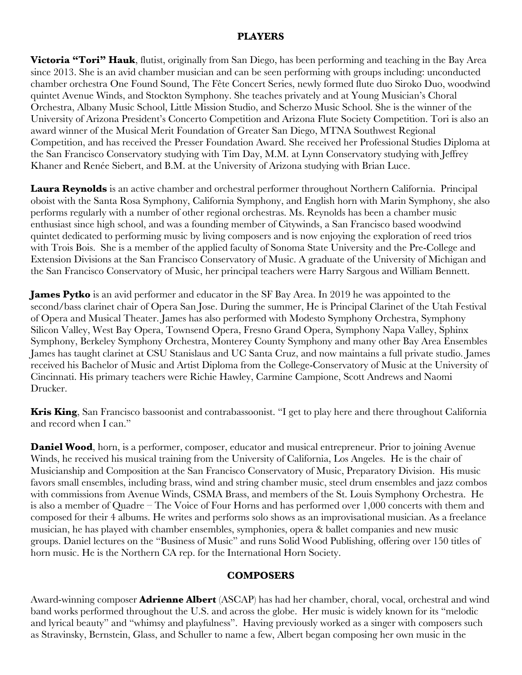#### **PLAYERS**

**Victoria "Tori" Hauk**, flutist, originally from San Diego, has been performing and teaching in the Bay Area since 2013. She is an avid chamber musician and can be seen performing with groups including: unconducted chamber orchestra One Found Sound, The Fête Concert Series, newly formed flute duo Siroko Duo, woodwind quintet Avenue Winds, and Stockton Symphony. She teaches privately and at Young Musician's Choral Orchestra, Albany Music School, Little Mission Studio, and Scherzo Music School. She is the winner of the University of Arizona President's Concerto Competition and Arizona Flute Society Competition. Tori is also an award winner of the Musical Merit Foundation of Greater San Diego, MTNA Southwest Regional Competition, and has received the Presser Foundation Award. She received her Professional Studies Diploma at the San Francisco Conservatory studying with Tim Day, M.M. at Lynn Conservatory studying with Jeffrey Khaner and Renée Siebert, and B.M. at the University of Arizona studying with Brian Luce.

**Laura Reynolds** is an active chamber and orchestral performer throughout Northern California. Principal oboist with the Santa Rosa Symphony, California Symphony, and English horn with Marin Symphony, she also performs regularly with a number of other regional orchestras. Ms. Reynolds has been a chamber music enthusiast since high school, and was a founding member of Citywinds, a San Francisco based woodwind quintet dedicated to performing music by living composers and is now enjoying the exploration of reed trios with Trois Bois. She is a member of the applied faculty of Sonoma State University and the Pre-College and Extension Divisions at the San Francisco Conservatory of Music. A graduate of the University of Michigan and the San Francisco Conservatory of Music, her principal teachers were Harry Sargous and William Bennett.

**James Pytko** is an avid performer and educator in the SF Bay Area. In 2019 he was appointed to the second/bass clarinet chair of Opera San Jose. During the summer, He is Principal Clarinet of the Utah Festival of Opera and Musical Theater. James has also performed with Modesto Symphony Orchestra, Symphony Silicon Valley, West Bay Opera, Townsend Opera, Fresno Grand Opera, Symphony Napa Valley, Sphinx Symphony, Berkeley Symphony Orchestra, Monterey County Symphony and many other Bay Area Ensembles James has taught clarinet at CSU Stanislaus and UC Santa Cruz, and now maintains a full private studio. James received his Bachelor of Music and Artist Diploma from the College-Conservatory of Music at the University of Cincinnati. His primary teachers were Richie Hawley, Carmine Campione, Scott Andrews and Naomi Drucker.

**Kris King**, San Francisco bassoonist and contrabassoonist. "I get to play here and there throughout California and record when I can."

**Daniel Wood**, horn, is a performer, composer, educator and musical entrepreneur. Prior to joining Avenue Winds, he received his musical training from the University of California, Los Angeles. He is the chair of Musicianship and Composition at the San Francisco Conservatory of Music, Preparatory Division. His music favors small ensembles, including brass, wind and string chamber music, steel drum ensembles and jazz combos with commissions from Avenue Winds, CSMA Brass, and members of the St. Louis Symphony Orchestra. He is also a member of Quadre – The Voice of Four Horns and has performed over 1,000 concerts with them and composed for their 4 albums. He writes and performs solo shows as an improvisational musician. As a freelance musician, he has played with chamber ensembles, symphonies, opera & ballet companies and new music groups. Daniel lectures on the "Business of Music" and runs Solid Wood Publishing, offering over 150 titles of horn music. He is the Northern CA rep. for the International Horn Society.

#### **COMPOSERS**

Award-winning composer **Adrienne Albert** (ASCAP) has had her chamber, choral, vocal, orchestral and wind band works performed throughout the U.S. and across the globe. Her music is widely known for its "melodic and lyrical beauty" and "whimsy and playfulness". Having previously worked as a singer with composers such as Stravinsky, Bernstein, Glass, and Schuller to name a few, Albert began composing her own music in the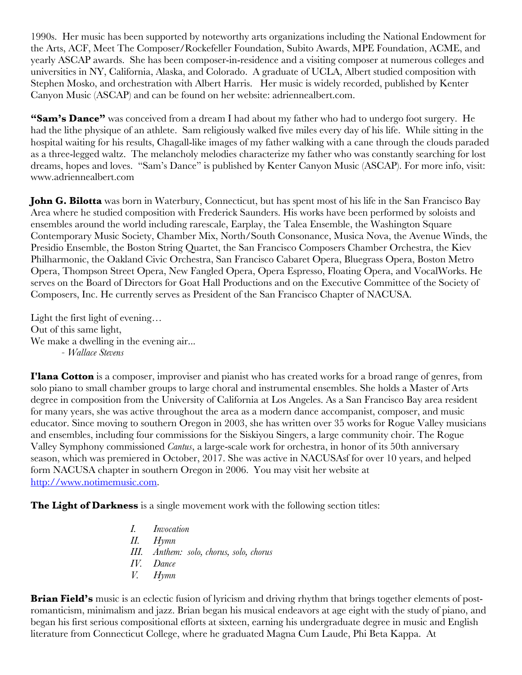1990s. Her music has been supported by noteworthy arts organizations including the National Endowment for the Arts, ACF, Meet The Composer/Rockefeller Foundation, Subito Awards, MPE Foundation, ACME, and yearly ASCAP awards. She has been composer-in-residence and a visiting composer at numerous colleges and universities in NY, California, Alaska, and Colorado. A graduate of UCLA, Albert studied composition with Stephen Mosko, and orchestration with Albert Harris. Her music is widely recorded, published by Kenter Canyon Music (ASCAP) and can be found on her website: adriennealbert.com.

**"Sam's Dance"** was conceived from a dream I had about my father who had to undergo foot surgery. He had the lithe physique of an athlete. Sam religiously walked five miles every day of his life. While sitting in the hospital waiting for his results, Chagall-like images of my father walking with a cane through the clouds paraded as a three-legged waltz. The melancholy melodies characterize my father who was constantly searching for lost dreams, hopes and loves. "Sam's Dance" is published by Kenter Canyon Music (ASCAP). For more info, visit: www.adriennealbert.com

John G. Bilotta was born in Waterbury, Connecticut, but has spent most of his life in the San Francisco Bay Area where he studied composition with Frederick Saunders. His works have been performed by soloists and ensembles around the world including rarescale, Earplay, the Talea Ensemble, the Washington Square Contemporary Music Society, Chamber Mix, North/South Consonance, Musica Nova, the Avenue Winds, the Presidio Ensemble, the Boston String Quartet, the San Francisco Composers Chamber Orchestra, the Kiev Philharmonic, the Oakland Civic Orchestra, San Francisco Cabaret Opera, Bluegrass Opera, Boston Metro Opera, Thompson Street Opera, New Fangled Opera, Opera Espresso, Floating Opera, and VocalWorks. He serves on the Board of Directors for Goat Hall Productions and on the Executive Committee of the Society of Composers, Inc. He currently serves as President of the San Francisco Chapter of NACUSA.

Light the first light of evening… Out of this same light, We make a dwelling in the evening air... *- Wallace Stevens*

**I'lana Cotton** is a composer, improviser and pianist who has created works for a broad range of genres, from solo piano to small chamber groups to large choral and instrumental ensembles. She holds a Master of Arts degree in composition from the University of California at Los Angeles. As a San Francisco Bay area resident for many years, she was active throughout the area as a modern dance accompanist, composer, and music educator. Since moving to southern Oregon in 2003, she has written over 35 works for Rogue Valley musicians and ensembles, including four commissions for the Siskiyou Singers, a large community choir. The Rogue Valley Symphony commissioned *Cantus*, a large-scale work for orchestra, in honor of its 50th anniversary season, which was premiered in October, 2017. She was active in NACUSAsf for over 10 years, and helped form NACUSA chapter in southern Oregon in 2006. You may visit her website at http://www.notimemusic.com.

**The Light of Darkness** is a single movement work with the following section titles:

*I. Invocation II. Hymn III. Anthem: solo, chorus, solo, chorus IV. Dance V. Hymn*

**Brian Field's** music is an eclectic fusion of lyricism and driving rhythm that brings together elements of postromanticism, minimalism and jazz. Brian began his musical endeavors at age eight with the study of piano, and began his first serious compositional efforts at sixteen, earning his undergraduate degree in music and English literature from Connecticut College, where he graduated Magna Cum Laude, Phi Beta Kappa. At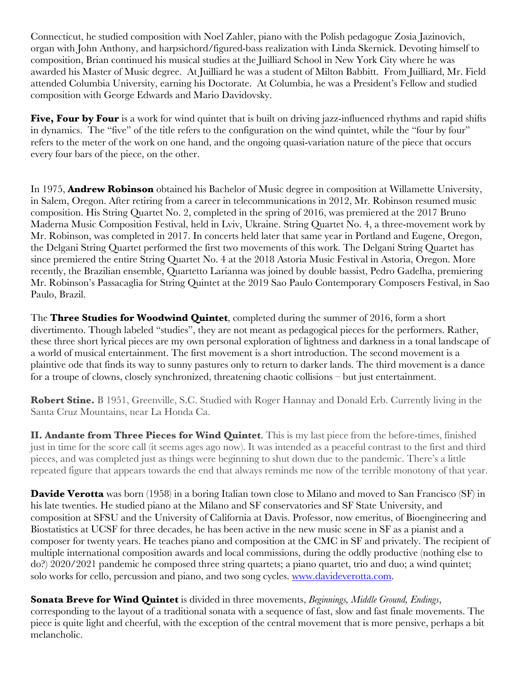Connecticut, he studied composition with Noel Zahler, piano with the Polish pedagogue Zosia Jazinovich, organ with John Anthony, and harpsichord/figured-bass realization with Linda Skernick. Devoting himself to composition, Brian continued his musical studies at the Juilliard School in New York City where he was awarded his Master of Music degree. At Juilliard he was a student of Milton Babbitt. From Juilliard, Mr. Field attended Columbia University, earning his Doctorate. At Columbia, he was a President's Fellow and studied composition with George Edwards and Mario Davidovsky.

**Five, Four by Four** is a work for wind quintet that is built on driving jazz-influenced rhythms and rapid shifts in dynamics. The "five" of the title refers to the configuration on the wind quintet, while the "four by four" refers to the meter of the work on one hand, and the ongoing quasi-variation nature of the piece that occurs every four bars of the piece, on the other.

In 1975, **Andrew Robinson** obtained his Bachelor of Music degree in composition at Willamette University, in Salem, Oregon. After retiring from a career in telecommunications in 2012, Mr. Robinson resumed music composition. His String Quartet No. 2, completed in the spring of 2016, was premiered at the 2017 Bruno Maderna Music Composition Festival, held in Lviv, Ukraine. String Quartet No. 4, a three-movement work by Mr. Robinson, was completed in 2017. In concerts held later that same year in Portland and Eugene, Oregon, the Delgani String Quartet performed the first two movements of this work. The Delgani String Quartet has since premiered the entire String Quartet No. 4 at the 2018 Astoria Music Festival in Astoria, Oregon. More recently, the Brazilian ensemble, Quartetto Larianna was joined by double bassist, Pedro Gadelha, premiering Mr. Robinson's Passacaglia for String Quintet at the 2019 Sao Paulo Contemporary Composers Festival, in Sao Paulo, Brazil.

The **Three Studies for Woodwind Quintet**, completed during the summer of 2016, form a short divertimento. Though labeled "studies", they are not meant as pedagogical pieces for the performers. Rather, these three short lyrical pieces are my own personal exploration of lightness and darkness in a tonal landscape of a world of musical entertainment. The first movement is a short introduction. The second movement is a plaintive ode that finds its way to sunny pastures only to return to darker lands. The third movement is a dance for a troupe of clowns, closely synchronized, threatening chaotic collisions – but just entertainment.

**Robert Stine.** B 1951, Greenville, S.C. Studied with Roger Hannay and Donald Erb. Currently living in the Santa Cruz Mountains, near La Honda Ca.

**II. Andante from Three Pieces for Wind Quintet**. This is my last piece from the before-times, finished just in time for the score call (it seems ages ago now). It was intended as a peaceful contrast to the first and third pieces, and was completed just as things were beginning to shut down due to the pandemic. There's a little repeated figure that appears towards the end that always reminds me now of the terrible monotony of that year.

**Davide Verotta** was born (1958) in a boring Italian town close to Milano and moved to San Francisco (SF) in his late twenties. He studied piano at the Milano and SF conservatories and SF State University, and composition at SFSU and the University of California at Davis. Professor, now emeritus, of Bioengineering and Biostatistics at UCSF for three decades, he has been active in the new music scene in SF as a pianist and a composer for twenty years. He teaches piano and composition at the CMC in SF and privately. The recipient of multiple international composition awards and local commissions, during the oddly productive (nothing else to do?) 2020/2021 pandemic he composed three string quartets; a piano quartet, trio and duo; a wind quintet; solo works for cello, percussion and piano, and two song cycles. www.davideverotta.com.

**Sonata Breve for Wind Quintet** is divided in three movements, *Beginnings, Middle Ground, Endings*, corresponding to the layout of a traditional sonata with a sequence of fast, slow and fast finale movements. The piece is quite light and cheerful, with the exception of the central movement that is more pensive, perhaps a bit melancholic.